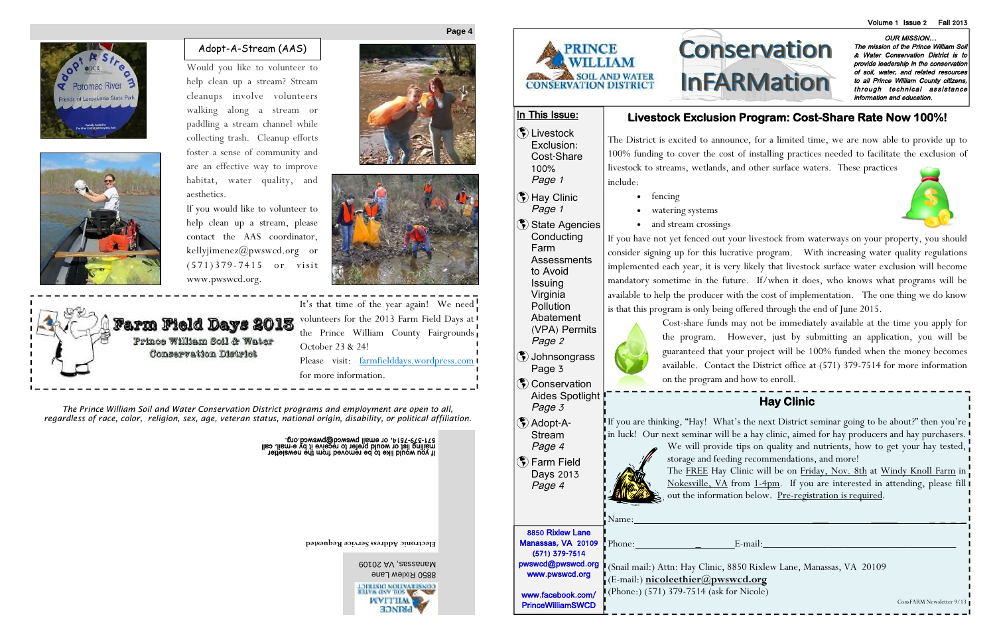**Electronic Address Service Requested**



OUR MISSION… The mission of the Prince William Soil & Water Conservation District is to provide leadership in the conservation of soil, water, and related resources to all Prince William County citizens, through technical assistance information and education.

## **Livestock Exclusion Program: Cost-Share Rate Now 100%!**



The District is excited to announce, for a limited time, we are now able to provide up to 100% funding to cover the cost of installing practices needed to facilitate the exclusion of livestock to streams, wetlands, and other surface waters. These practices include:

- fencing
- watering systems
- and stream crossings

If you have not yet fenced out your livestock from waterways on your property, you should consider signing up for this lucrative program. With increasing water quality regulations implemented each year, it is very likely that livestock surface water exclusion will become mandatory sometime in the future. If/when it does, who knows what programs will be available to help the producer with the cost of implementation. The one thing we do know is that this program is only being offered through the end of June 2015.

Manassas, VA <sup>20109</sup> 8850 Rixlew Lane CONSERVATION DIRESTICT WVITILM

**MINGE** 



Cost-share funds may not be immediately available at the time you apply for the program. However, just by submitting an application, you will be guaranteed that your project will be 100% funded when the money becomes available. Contact the District office at (571) 379-7514 for more information on the program and how to enroll.

(\*) Livestock Exclusion: Cost-Share 100% Page <sup>1</sup>

State Agencies Conducting Farm

**Assessments** 

*The Prince William Soil and Water Conservation District programs and employment are open to all, regardless of race, color, religion, sex, age, veteran status, national origin, disability, or political affiliation.*

an you wewcq@bwawcq ould it by the mail of the server it by e-wail, call<br>mailing list or would prefer to receive it by e-mail, call<br>It you would like to be removed from the newsletter

**Page 4**



# **Hay Clinic**

If you are thinking, "Hay! What's the next District seminar going to be about?" then you're in luck! Our next seminar will be a hay clinic, aimed for hay producers and hay purchasers. We will provide tips on quality and nutrients, how to get your hay tested, storage and feeding recommendations, and more!



The FREE Hay Clinic will be on Friday, Nov. 8th at Windy Knoll Farm in Nokesville, VA from 1-4pm. If you are interested in attending, please fill out the information below. Pre-registration is required.

Name: \_\_\_ \_\_\_\_\_ \_ \_ \_ \_

Phone: \_ E-mail:\_\_\_\_\_\_\_\_\_\_\_\_\_\_\_\_\_\_\_\_\_\_\_\_\_\_\_\_\_\_\_\_\_\_\_\_

(Snail mail:) Attn: Hay Clinic, 8850 Rixlew Lane, Manassas, VA 20109 (E-mail:) **nicoleethier@pwswcd.org** (Phone:) (571) 379-7514 (ask for Nicole)



## In This Issue:

 Hay Clinic Page <sup>1</sup>

to Avoid **Issuing** Virginia **Pollution** Abatement

(VPA) Permits Page <sup>2</sup>

- Johnsongrass Page 3
- **(₹)** Conservation Aides Spotlight Page <sup>3</sup>
- Adopt-A-Stream Page <sup>4</sup>
- (\*) Farm Field Days 2013 Page <sup>4</sup>

8850 Rixlew Lane Manassas, VA 20109 (571) 379-7514 pwswcd@pwswcd.org www.pwswcd.org

www.facebook.com/ PrinceWilliamSWCD



It's that time of the year again! We need volunteers for the 2013 Farm Field Days at the Prince William County Fairgrounds October 23 & 24! Please visit: farmfielddays.wordpress.com for more information.

Would you like to volunteer to help clean up a stream? Stream cleanups involve volunteers walking along a stream or paddling a stream channel while collecting trash. Cleanup efforts foster a sense of community and are an effective way to improve habitat, water quality, and aesthetics.

If you would like to volunteer to help clean up a stream, please contact the AAS coordinator, kellyjimenez@pwswcd.org or  $(571)379 - 7415$  or visit www.pwswcd.org.







## Adopt-A-Stream (AAS)